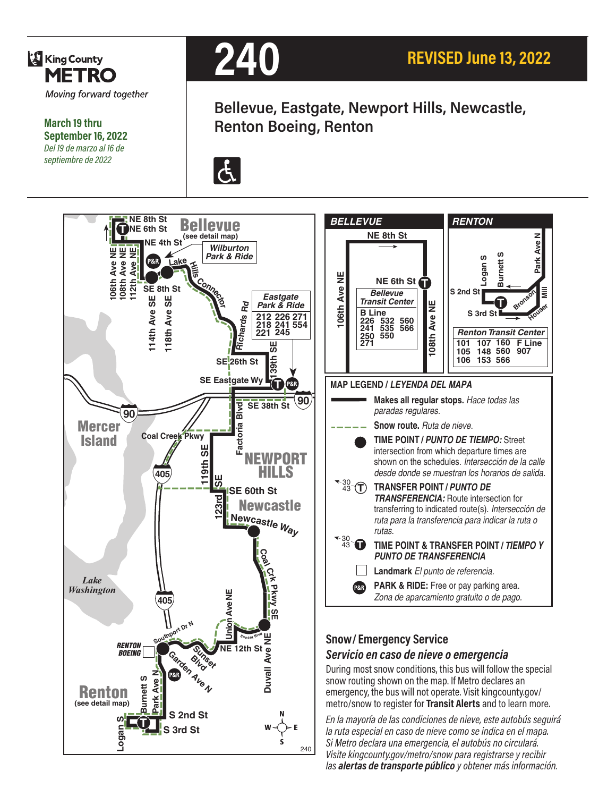

**March 19 thru September 16, 2022** *Del 19 de marzo al 16 de septiembre de 2022*



**Bellevue, Eastgate, Newport Hills, Newcastle, Renton Boeing, Renton**





240

*la ruta especial en caso de nieve como se indica en el mapa. Si Metro declara una emergencia, el autobús no circulará. Visite kingcounty.gov/metro/snow para registrarse y recibir las alertas de transporte público y obtener más información.*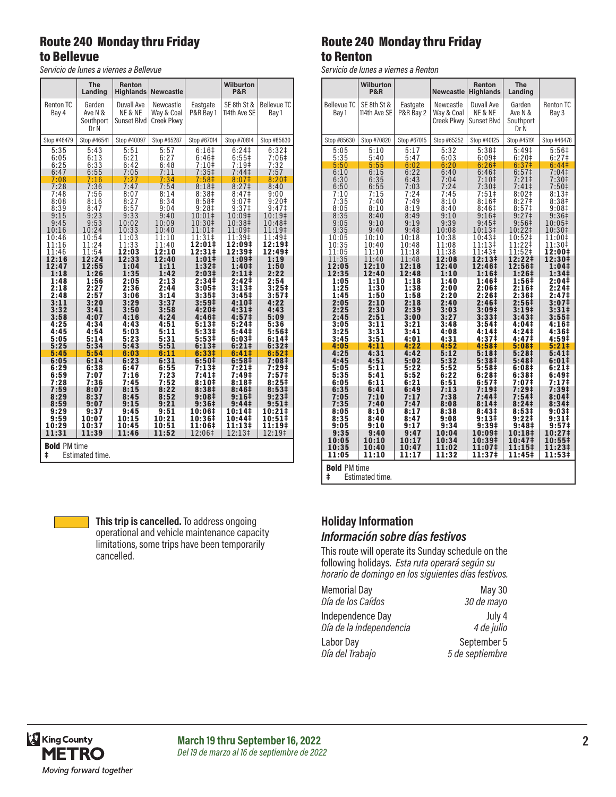#### Route 240 Monday thru Friday to Bellevue

*Servicio de lunes a viernes a Bellevue*

|                                             | <b>The</b><br>Landing                  | Renton<br><b>Highlands</b>           | <b>Newcastle</b>                             |                       | <b>Wilburton</b><br><b>P&amp;R</b> |                             |
|---------------------------------------------|----------------------------------------|--------------------------------------|----------------------------------------------|-----------------------|------------------------------------|-----------------------------|
| <b>Renton TC</b><br>Bay 4                   | Garden<br>Ave N &<br>Southport<br>Dr N | Duvall Ave<br>NE & NE<br>Sunset Blvd | Newcastle<br>Way & Coal<br><b>Creek Pkwy</b> | Eastgate<br>P&R Bay 1 | SE 8th St &<br>114th Ave SE        | <b>Bellevue TC</b><br>Bay 1 |
| Stop #46479                                 | Stop #46541                            | Stop #40097                          | Stop #65287                                  | Stop #67014           | Stop #70814                        | Stop #85630                 |
| 5:35                                        | 5:43                                   | 5:51                                 | 5:57                                         | 6:16#                 | 6:24 <sup>‡</sup>                  | 6:32 <sup>‡</sup>           |
| 6:05                                        | 6:13                                   | 6:21                                 | 6:27                                         | 6:46‡                 | $6:55\pm$                          | 7:06#                       |
| 6:25                                        | 6:33                                   | 6:42                                 | 6:48                                         | $7:10$ ‡              | $7:19+$                            | 7:32                        |
| 6:47                                        | 6:55                                   | 7:05                                 | 7:11                                         | 7:35 <sup>‡</sup>     | 7:44‡                              | 7:57                        |
| 7:08                                        | 7:16                                   | 7:27                                 | 7:34                                         | 7:58 <sup>‡</sup>     | 8:07‡                              | 8:20#                       |
| 7:28                                        | 7:36                                   | 7:47                                 | 7:54                                         | 8:18 <sup>‡</sup>     | 8:27 <sup>‡</sup>                  | 8:40                        |
| 7:48                                        | 7:56                                   | 8:07                                 | 8:14                                         | 8:38‡                 | 8:47‡                              | 9:00                        |
| 8:08                                        | 8:16                                   | 8:27                                 | 8:34                                         | 8:58 <sup>‡</sup>     | 9:07‡                              | $9:20$ ‡                    |
| 8:39                                        | 8:47                                   | 8:57                                 | 9:04                                         | 9:28 <sup>‡</sup>     | 9:37 <sup>‡</sup>                  | 9:47‡                       |
| 9:15                                        | 9:23                                   | 9:33                                 | 9:40                                         | 10:01‡                | 10:09‡                             | 10:19‡                      |
| 9:45                                        | 9:53                                   | 10:02                                | 10:09                                        | 10:30‡                | 10:38‡                             | 10:48‡                      |
| 10:16                                       | 10:24                                  | 10:33                                | 10:40                                        | 11:01‡                | 11:09‡                             | 11:19‡                      |
| 10:46                                       | 10:54                                  | 11:03                                | 11:10                                        | 11:31‡                | 11:39‡                             | 11:49‡                      |
| 11:16                                       | 11:24                                  | 11:33                                | 11:40                                        | 12:01‡                | 12:09‡                             | 12:19‡                      |
| 11:46                                       | 11:54                                  | 12:03                                | 12:10                                        | 12:31‡                | 12:39‡                             | 12:49‡                      |
| 12:16                                       | 12:24                                  | 12:33                                | 12:40                                        | $1:01\pm$             | 1:09‡                              | 1:19                        |
| 12:47                                       | 12:55                                  | 1:04                                 | 1:11                                         | 1:32‡                 | 1:40‡                              | 1:50                        |
| 1:18                                        | 1:26                                   | 1:35                                 | 1:42                                         | 2:03‡                 | 2:11‡                              | 2:22                        |
| 1:48                                        | 1:56                                   | 2:05                                 | 2:13                                         | 2:34‡                 | 2:42‡                              | 2:54                        |
| 2:18                                        | 2:27                                   | 2:36                                 | 2:44                                         | 3:05‡                 | 3:13‡                              | 3:25#                       |
| 2:48                                        | 2:57                                   | 3:06                                 | 3:14                                         | 3:35‡                 | 3:45 <sup>‡</sup>                  | 3:57 <sup>‡</sup>           |
| 3:11                                        | 3:20                                   | 3:29                                 | 3:37                                         | 3:59#                 | 4:10‡                              | 4:22                        |
| 3:32                                        | 3:41                                   | 3:50                                 | 3:58                                         | 4:20‡                 | 4:31‡                              | 4:43                        |
| 3:58                                        | 4:07                                   | 4:16                                 | 4:24                                         | 4:46‡                 | 4:57‡                              | 5:09                        |
| 4:25                                        | 4:34                                   | 4:43                                 | 4:51                                         | $5:13*$               | 5:24‡                              | 5:36                        |
| 4:45                                        | 4:54                                   | 5:03                                 | 5:11                                         | 5:33‡                 | 5:44‡                              | 5:56‡                       |
| 5:05                                        | 5:14                                   | 5:23                                 | 5:31                                         | 5:53‡                 | 6:03‡                              | 6:141                       |
| 5:25                                        | 5:34                                   | 5:43                                 | 5:51                                         | 6:13#                 | 6:21‡                              | 6:32‡                       |
| 5:45                                        | 5:54                                   | 6:03                                 | 6:11                                         | 6:33‡                 | 6:41#                              | 6:52#                       |
| 6:05                                        | 6:14                                   | 6:23                                 | 6:31                                         | 6:50‡                 | 6:58 <sup>‡</sup>                  | 7:08‡                       |
| 6:29                                        | 6:38                                   | 6:47                                 | 6:55                                         | 7:13‡                 | 7:21‡                              | 7:29‡                       |
| 6:59                                        | 7:07                                   | 7:16                                 | 7:23                                         | 7:41‡                 | 7:49‡                              | 7:57‡                       |
| 7:28                                        | 7:36                                   | 7:45                                 | 7:52                                         | 8:10‡                 | 8:18‡                              | 8:25‡                       |
| 7:59                                        | 8:07                                   | 8:15                                 | 8:22                                         | 8:38‡                 | 8:46‡                              | 8:53‡                       |
| 8:29                                        | 8:37                                   | 8:45                                 | 8:52                                         | 9:08‡                 | 9:16‡                              | 9:23‡                       |
| 8:59                                        | 9:07                                   | 9:15                                 | 9:21                                         | 9:36‡                 | 9:44‡                              | 9:51‡                       |
| 9:29                                        | 9:37                                   | 9:45                                 | 9:51                                         | 10:06‡                | 10:14‡                             | 10:21‡                      |
| 9:59                                        | 10:07                                  | 10:15                                | 10:21                                        | 10:36‡                | 10:44‡                             | 10:51‡                      |
| 10:29                                       | 10:37                                  | 10:45                                | 10:51                                        | 11:06‡                | 11:13‡                             | 11:19‡                      |
| 11:31                                       | 11:39                                  | 11:46                                | 11:52                                        | 12:06‡                | 12:13‡                             | 12:19‡                      |
| <b>Bold PM time</b><br>ŧ<br>Estimated time. |                                        |                                      |                                              |                       |                                    |                             |

Route 240 Monday thru Friday to Renton

*Servicio de lunes a viernes a Renton*

|                      | Wilburton      |                       |                          | Renton                                 | <b>The</b>                             |                                        |  |
|----------------------|----------------|-----------------------|--------------------------|----------------------------------------|----------------------------------------|----------------------------------------|--|
|                      | P&R            |                       | Newcastle                | <b>Highlands</b>                       | Landing                                |                                        |  |
| <b>Bellevue TC</b>   | SE 8th St &    | Eastgate<br>P&R Bay 2 | Newcastle                | Duvall Ave<br>NE & NE                  | Garden                                 | Renton TC                              |  |
| Bay 1                | 114th Ave SE   |                       | Way & Coal<br>Creek Pkwy | Sunset Blvd                            | Ave N &<br>Southport                   | Bay 3                                  |  |
|                      |                |                       |                          |                                        | Dr N                                   |                                        |  |
| Stop #85630          | Stop #70820    | Stop #67015           | Stop #65252              | Stop #40125                            | Stop #45191                            | Stop #46478                            |  |
| 5:05<br>5:35         | 5:10<br>5:40   | 5:17<br>5:47          | 5:32<br>6:03             | 5:38 <sup>‡</sup><br>6:09#             | 5:49 <sup>‡</sup><br>6:20 <sup>‡</sup> | $5:56+$<br>6:27 <sup>‡</sup>           |  |
| 5:50                 | 5:55           | 6:02                  | 6:20                     | 6:26 <sup>‡</sup>                      | 6:37 <sup>‡</sup>                      | 6:441                                  |  |
| 6:10<br>6:30         | 6:15<br>6:35   | 6:22<br>6:43          | 6:40<br>7:04             | 6:46 <sup>‡</sup><br>7:10 <sup>‡</sup> | $6:57‡$<br>7:21‡                       | 7:04‡<br>7:30 <sup>‡</sup>             |  |
| 6:50                 | 6:55           | 7:03                  | 7:24                     | 7:30 <sup>‡</sup>                      | 7:41 <sup>‡</sup>                      | 7:50 <sup>‡</sup>                      |  |
| 7:10                 | 7:15           | 7:24                  | 7:45                     | 7:51‡                                  | 8:02 <sup>‡</sup>                      | 8:13#                                  |  |
| 7:35                 | 7:40           | 7:49                  | 8:10<br>8:40             | 8:16#                                  | 8:27 <sup>‡</sup><br>8:57 <sup>‡</sup> | 8:38 <sup>‡</sup>                      |  |
| 8:05<br>8:35         | 8:10<br>8:40   | 8:19<br>8:49          | 9:10                     | 8:46‡<br>$9:16+$                       | 9:27 <sup>‡</sup>                      | 9:08 <sup>‡</sup><br>9:36 <sup>‡</sup> |  |
| 9:05                 | 9:10           | 9:19                  | 9:39                     | 9:45‡                                  | 9:56 <sup>‡</sup>                      | 10:05‡                                 |  |
| 9:35                 | 9:40           | 9:48                  | 10:08                    | 10:13‡                                 | 10:22‡                                 | 10:30‡                                 |  |
| 10:05<br>10:35       | 10:10<br>10:40 | 10:18<br>10:48        | 10:38<br>11:08           | 10:43‡<br>11:13‡                       | 10:52‡<br>11:22‡                       | 11:00‡<br>11:30‡                       |  |
| 11:05                | 11:10          | 11:18                 | 11:38                    | 11:43‡                                 | 11:52‡                                 | 12:00‡                                 |  |
| 11:35                | 11:40          | 11:48                 | 12:08                    | 12:13‡                                 | 12:22‡                                 | 12:30‡                                 |  |
| 12:05<br>12:35       | 12:10<br>12:40 | 12:18<br>12:48        | 12:40<br>1:10            | 12:46‡<br>1:16‡                        | 12:56‡<br>1:26‡                        | 1:04‡<br>1:34‡                         |  |
| 1:05                 | 1:10           | 1:18                  | 1:40                     | 1:46‡                                  | 1:56‡                                  | 2:04‡                                  |  |
| 1:25                 | 1:30           | 1:38                  | 2:00                     | 2:06‡                                  | 2:16‡                                  | 2:24                                   |  |
| 1:45<br>2:05         | 1:50<br>2:10   | 1:58<br>2:18          | 2:20<br>2:40             | 2:26‡<br>2:46‡                         | 2:36‡<br>2:56 <sup>‡</sup>             | 2:47 <sup>‡</sup><br>3:07 <sup>‡</sup> |  |
| 2:25<br>2:45         | 2:30<br>2:51   | 2:39                  | 3:03<br>3:27             | 3:09‡<br>3:33‡                         | 3:19‡<br>3:43‡                         | 3:31 <sup>‡</sup><br>$3:55\ddagger$    |  |
| 3:05                 | 3:11           | 3:00<br>3:21          | 3:48                     | 3:54‡                                  | 4:04‡                                  | 4:16‡                                  |  |
| 3:25                 | 3:31           | 3:41                  | 4:08                     | 4:14‡                                  | 4:24‡                                  | 4:36‡                                  |  |
| 3:45<br>4:05         | 3:51<br>4:11   | 4:01<br>4:22          | 4:31<br>4:52             | 4:37‡<br>4:58‡                         | 4:47‡<br>5:08‡                         | 4:59‡<br>5:21‡                         |  |
| 4:25                 | 4:31           | 4:42                  | 5:12                     | 5:18‡                                  | 5:28‡                                  | 5:41                                   |  |
| 4:45                 | 4:51           | 5:02                  | 5:32                     | 5:38‡                                  | 5:48‡                                  | $6:01\pm$                              |  |
| 5:05<br>5:35         | 5:11<br>5:41   | 5:22<br>5:52          | 5:52<br>6:22             | 5:58‡<br>6:28‡                         | 6:08‡<br>6:38‡                         | 6:21‡<br>6:49‡                         |  |
| 6:05                 | 6:11           | 6:21                  | 6:51                     | 6:57‡                                  | 7:07‡                                  | 7:17 <sup>‡</sup>                      |  |
| 6:35                 | 6:41           | 6:49                  | 7:13                     | 7:19 <sup>‡</sup>                      | 7:29 <sup>‡</sup>                      | 7:39‡                                  |  |
| 7:05<br>7:35         | 7:10<br>7:40   | 7:17<br>7:47          | 7:38<br>8:08             | 7:44‡<br>8:141                         | 7:54‡<br>8:241                         | 8:04‡<br>8:34 <sup>‡</sup>             |  |
| 8:05                 | 8:10           | 8:17                  | 8:38                     | 8:43#                                  | 8:53#                                  | 9:03‡                                  |  |
| 8:35                 | 8:40           | 8:47                  | 9:08                     | 9:13‡<br>9:39#                         | 9:22‡                                  | 9:31‡                                  |  |
| 9:05<br>9:35         | 9:10<br>9:40   | 9:17<br>9:47          | 9:34<br>10:04            | 10:09‡                                 | 9:48‡<br>10:18‡                        | 9:57‡<br>10:27‡                        |  |
| 10:05                | 10:10          | 10:17                 | 10:34                    | 10:39‡                                 | 10:47‡                                 | 10:55‡                                 |  |
| 10:35<br>11:05       | 10:40<br>11:10 | 10:47<br>11:17        | 11:02<br>11:32           | 11:07‡<br>11:37‡                       | 11:15‡<br>11:45‡                       | 11:23‡<br>11:53‡                       |  |
|                      |                |                       |                          |                                        |                                        |                                        |  |
| <b>Bold PM time</b>  |                |                       |                          |                                        |                                        |                                        |  |
| ŧ<br>Estimated time. |                |                       |                          |                                        |                                        |                                        |  |



**This trip is cancelled.** To address ongoing operational and vehicle maintenance capacity limitations, some trips have been temporarily cancelled.

#### **Holiday Information** *Información sobre días festivos*

This route will operate its Sunday schedule on the following holidays. *Esta ruta operará según su horario de domingo en los siguientes días festivos.*

| <b>Memorial Day</b>     | <b>May 30</b>   |
|-------------------------|-----------------|
| Día de los Caídos       | 30 de mayo      |
| Independence Day        | July 4          |
| Día de la independencia | 4 de julio      |
| Labor Day               | September 5     |
| Día del Trabajo         | 5 de septiembre |

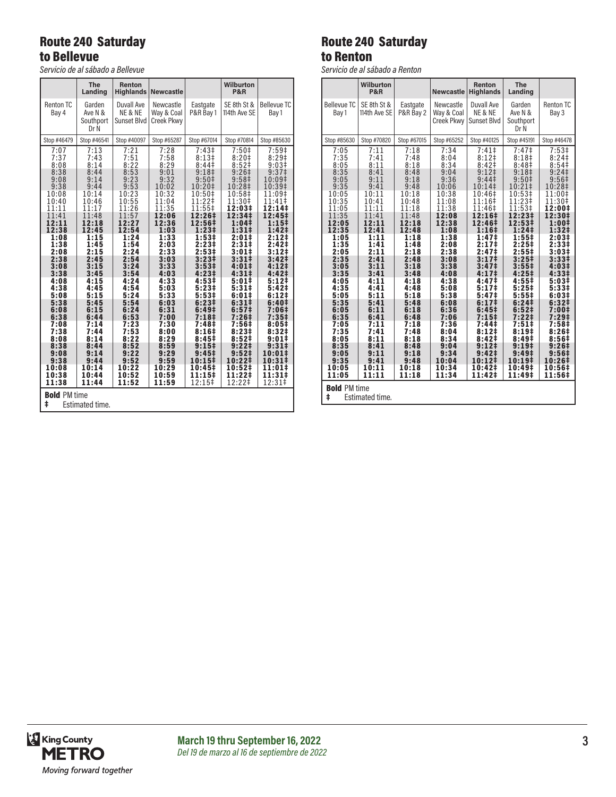# Route 240 Saturday to Bellevue

*Servicio de al sábado a Bellevue*

|                                                                                                                                                                                                                                    | The<br>Landing                                                                                                                                                                                                                     | <b>Renton</b><br><b>Highlands</b>                                                                                                                                                                                                  | <b>Newcastle</b>                                                                                                                                                                                                                   |                                                                                                                                                                                                                                                                                                                           | <b>Wilburton</b><br>P&R                                                                                                                                                                                                                                                                                                                                    |                                                                                                                                                                                                                                                                                                                                                                 |
|------------------------------------------------------------------------------------------------------------------------------------------------------------------------------------------------------------------------------------|------------------------------------------------------------------------------------------------------------------------------------------------------------------------------------------------------------------------------------|------------------------------------------------------------------------------------------------------------------------------------------------------------------------------------------------------------------------------------|------------------------------------------------------------------------------------------------------------------------------------------------------------------------------------------------------------------------------------|---------------------------------------------------------------------------------------------------------------------------------------------------------------------------------------------------------------------------------------------------------------------------------------------------------------------------|------------------------------------------------------------------------------------------------------------------------------------------------------------------------------------------------------------------------------------------------------------------------------------------------------------------------------------------------------------|-----------------------------------------------------------------------------------------------------------------------------------------------------------------------------------------------------------------------------------------------------------------------------------------------------------------------------------------------------------------|
| <b>Renton TC</b><br>Bay 4                                                                                                                                                                                                          | Garden<br>Ave N &<br>Southport<br>Dr N                                                                                                                                                                                             | Duvall Ave<br>NE & NE<br>Sunset Blvd                                                                                                                                                                                               | Newcastle<br>Way & Coal<br><b>Creek Pkwy</b>                                                                                                                                                                                       | Eastgate<br>P&R Bay 1                                                                                                                                                                                                                                                                                                     | SE 8th St &<br>114th Ave SE                                                                                                                                                                                                                                                                                                                                | <b>Bellevue TC</b><br>Bay 1                                                                                                                                                                                                                                                                                                                                     |
| Stop #46479                                                                                                                                                                                                                        | Stop #46541                                                                                                                                                                                                                        | Stop #40097                                                                                                                                                                                                                        | Stop #65287                                                                                                                                                                                                                        | Stop #67014                                                                                                                                                                                                                                                                                                               | Stop #70814                                                                                                                                                                                                                                                                                                                                                | Stop #85630                                                                                                                                                                                                                                                                                                                                                     |
| 7:07<br>7:37<br>8:08<br>8:38<br>9:08<br>9:38<br>10:08<br>10:40<br>11:11<br>11:41<br>12:11<br>12:38<br>1:08<br>1:38<br>2:08<br>2:38<br>3:08<br>3:38<br>4:08<br>4:38<br>5:08<br>5:38<br>6:08<br>6:38<br>7:08<br>7:38<br>8:08<br>8:38 | 7:13<br>7:43<br>8:14<br>8:44<br>9:14<br>9:44<br>10:14<br>10:46<br>11:17<br>11:48<br>12:18<br>12:45<br>1:15<br>1:45<br>2:15<br>2:45<br>3:15<br>3:45<br>4:15<br>4:45<br>5:15<br>5:45<br>6:15<br>6:44<br>7:14<br>7:44<br>8:14<br>8:44 | 7:21<br>7:51<br>8:22<br>8:53<br>9:23<br>9:53<br>10:23<br>10:55<br>11:26<br>11:57<br>12:27<br>12:54<br>1:24<br>1:54<br>2:24<br>2:54<br>3:24<br>3:54<br>4:24<br>4:54<br>5:24<br>5:54<br>6:24<br>6:53<br>7:23<br>7:53<br>8:22<br>8:52 | 7:28<br>7:58<br>8:29<br>9:01<br>9:32<br>10:02<br>10:32<br>11:04<br>11:35<br>12:06<br>12:36<br>1:03<br>1:33<br>2:03<br>2:33<br>3:03<br>3:33<br>4:03<br>4:33<br>5:03<br>5:33<br>6:03<br>6:31<br>7:00<br>7:30<br>8:00<br>8:29<br>8:59 | 7:43 <sup>‡</sup><br>8:13#<br>8:44‡<br>9:18 <sup>‡</sup><br>9:50‡<br>10:20‡<br>10:50‡<br>11:22‡<br>11:55‡<br>12:26‡<br>12:56‡<br>1:23 <sup>‡</sup><br>1:53‡<br>2:23‡<br>2:53‡<br>$3:23+$<br>3:53 <sup>‡</sup><br>4:23#<br>4:53‡<br>5:23‡<br>5:53‡<br>6:231<br>6:49‡<br>7:18‡<br>7:48‡<br>8:16‡<br>8:45‡<br>$9:15\ddagger$ | $7:50+$<br>8:20 <sup>‡</sup><br>8:52 <sup>‡</sup><br>9:26 <sup>‡</sup><br>9:58‡<br>10:28‡<br>10:58‡<br>11:30‡<br>12:03‡<br>12:34‡<br>1:04‡<br>1:31‡<br>2:01#<br>$2:31 \div$<br>$3:01\pm$<br>3:31 <sup>‡</sup><br>4:01#<br>$4:31 \;$<br>5:01‡<br>5:31‡<br>6:01#<br>$6:31\pm$<br>6:57 <sup>‡</sup><br>7:26‡<br>7:56‡<br>8:23#<br>$8:52\ddagger$<br>$9:22 \;$ | 7:59 <sup>‡</sup><br>8:29#<br>9:03 <sup>‡</sup><br>9:37 <sup>‡</sup><br>10:09‡<br>10:39‡<br>11:09‡<br>11:41‡<br>12:14‡<br>12:45‡<br>1:151<br>1:42‡<br>2:12 <sup>‡</sup><br>2:42‡<br>3:12‡<br>3:42 <sup>‡</sup><br>4:12 <sup>‡</sup><br>4:42‡<br>5:12‡<br>5:42 <sup>‡</sup><br>6:12‡<br>6:40‡<br>7:06‡<br>7:35‡<br>8:05#<br>8:32‡<br>$9:01\pm$<br>$9:31\ddagger$ |
| 9:08<br>9:38<br>10:08                                                                                                                                                                                                              | 9:14<br>9:44<br>10:14                                                                                                                                                                                                              | 9:22<br>9:52<br>10:22                                                                                                                                                                                                              | 9:29<br>9:59<br>10:29                                                                                                                                                                                                              | 9:45‡<br>$10:15*$<br>10:45‡                                                                                                                                                                                                                                                                                               | 9:52‡<br>10:22‡<br>10:52‡                                                                                                                                                                                                                                                                                                                                  | 10:01‡<br>10:31‡<br>11:01‡                                                                                                                                                                                                                                                                                                                                      |
| 10:38<br>11:38                                                                                                                                                                                                                     | 10:44<br>11:44                                                                                                                                                                                                                     | 10:52<br>11:52                                                                                                                                                                                                                     | 10:59<br>11:59                                                                                                                                                                                                                     | 11:15‡<br>12:15‡                                                                                                                                                                                                                                                                                                          | 11:22‡<br>12:22‡                                                                                                                                                                                                                                                                                                                                           | 11:31‡<br>12:31‡                                                                                                                                                                                                                                                                                                                                                |
| <b>Bold PM time</b><br>ŧ<br>Estimated time.                                                                                                                                                                                        |                                                                                                                                                                                                                                    |                                                                                                                                                                                                                                    |                                                                                                                                                                                                                                    |                                                                                                                                                                                                                                                                                                                           |                                                                                                                                                                                                                                                                                                                                                            |                                                                                                                                                                                                                                                                                                                                                                 |

# Route 240 Saturday to Renton

*Servicio de al sábado a Renton*

|                                                                                                                                                                                                                                                             | Wilburton<br>P&R                                                                                                                                                                                                                                            |                                                                                                                                                                                                                                                             | <b>Newcastle</b>                                                                                                                                                                                                                                             | Renton<br><b>Highlands</b>                                                                                                                                                                                                                                                                                                                                  | <b>The</b><br>Landing                                                                                                                                                                                                                                                                                                                                                                                   |                                                                                                                                                                                                                                                                                                                                         |
|-------------------------------------------------------------------------------------------------------------------------------------------------------------------------------------------------------------------------------------------------------------|-------------------------------------------------------------------------------------------------------------------------------------------------------------------------------------------------------------------------------------------------------------|-------------------------------------------------------------------------------------------------------------------------------------------------------------------------------------------------------------------------------------------------------------|--------------------------------------------------------------------------------------------------------------------------------------------------------------------------------------------------------------------------------------------------------------|-------------------------------------------------------------------------------------------------------------------------------------------------------------------------------------------------------------------------------------------------------------------------------------------------------------------------------------------------------------|---------------------------------------------------------------------------------------------------------------------------------------------------------------------------------------------------------------------------------------------------------------------------------------------------------------------------------------------------------------------------------------------------------|-----------------------------------------------------------------------------------------------------------------------------------------------------------------------------------------------------------------------------------------------------------------------------------------------------------------------------------------|
| <b>Bellevue TC</b><br>Bay 1                                                                                                                                                                                                                                 | SE 8th St &<br>114th Ave SE                                                                                                                                                                                                                                 | Eastgate<br>P&R Bay 2                                                                                                                                                                                                                                       | Newcastle<br>Way & Coal<br>Creek Pkwy                                                                                                                                                                                                                        | Duvall Ave<br>NE & NE<br>Sunset Blvd                                                                                                                                                                                                                                                                                                                        | Garden<br>Ave N &<br>Southport<br>Dr N                                                                                                                                                                                                                                                                                                                                                                  | <b>Renton TC</b><br>Bay 3                                                                                                                                                                                                                                                                                                               |
| Stop #85630                                                                                                                                                                                                                                                 | Stop #70820                                                                                                                                                                                                                                                 | Stop #67015                                                                                                                                                                                                                                                 | Stop #65252                                                                                                                                                                                                                                                  | Stop #40125                                                                                                                                                                                                                                                                                                                                                 | Stop #45191                                                                                                                                                                                                                                                                                                                                                                                             | Stop #46478                                                                                                                                                                                                                                                                                                                             |
| 7:05<br>7:35<br>8:05<br>8:35<br>9:05<br>9:35<br>10:05<br>10:35<br>11:05<br>11:35<br>12:05<br>12:35<br>1:05<br>1:35<br>2:05<br>2:35<br>3:05<br>3:35<br>4:05<br>4:35<br>5:05<br>5:35<br>6:05<br>6:35<br>7:05<br>7:35<br>8:05<br>8:35<br>9:05<br>9:35<br>10:05 | 7:11<br>7:41<br>8:11<br>8:41<br>9:11<br>9:41<br>10:11<br>10:41<br>11:11<br>11:41<br>12:11<br>12:41<br>1:11<br>1:41<br>2:11<br>2:41<br>3:11<br>3:41<br>4:11<br>4:41<br>5:11<br>5:41<br>6:11<br>6:41<br>7:11<br>7:41<br>8:11<br>8:41<br>9:11<br>9:41<br>10:11 | 7:18<br>7:48<br>8:18<br>8:48<br>9:18<br>9:48<br>10:18<br>10:48<br>11:18<br>11:48<br>12:18<br>12:48<br>1:18<br>1:48<br>2:18<br>2:48<br>3:18<br>3:48<br>4:18<br>4:48<br>5:18<br>5:48<br>6:18<br>6:48<br>7:18<br>7:48<br>8:18<br>8:48<br>9:18<br>9:48<br>10:18 | 7:34<br>8:04<br>8:34<br>9:04<br>9:36<br>10:06<br>10:38<br>11:08<br>11:38<br>12:08<br>12:38<br>1:08<br>1:38<br>2:08<br>2:38<br>3:08<br>3:38<br>4:08<br>4:38<br>5:08<br>5:38<br>6:08<br>6:36<br>7:06<br>7:36<br>8:04<br>8:34<br>9:04<br>9:34<br>10:04<br>10:34 | 7:41<br>$8:12$ ‡<br>8:42 <sup>‡</sup><br>$9:12$ <sup>‡</sup><br>9:44<br>10:14‡<br>10:46‡<br>11:16‡<br>11:46‡<br>12:16‡<br>12:46‡<br>1:16‡<br>1:47‡<br>2:17‡<br>2:47‡<br>3:17 <sup>‡</sup><br>3:47‡<br>4:17‡<br>4:47‡<br>$5:17$ ‡<br>5:47‡<br>6:17‡<br>6:45‡<br>7:15‡<br>7:44‡<br>8:121<br>8:42 <sup>‡</sup><br>9:12‡<br>$9:42 \ddagger$<br>10:12‡<br>10:42‡ | 7:47 <sup>‡</sup><br>8:18 <sup>‡</sup><br>8:48 <sup>‡</sup><br>9:18 <sup>‡</sup><br>9:50 <sup>‡</sup><br>10:21‡<br>10:53‡<br>11:23‡<br>11:53‡<br>12:23‡<br>12:53‡<br>1:24 <sup>‡</sup><br>1:55‡<br>2:25‡<br>2:55 <sup>‡</sup><br>3:25 <sup>‡</sup><br>3:55 <sup>‡</sup><br>4:25#<br>4:55‡<br>5:25‡<br>5:551<br>6:24‡<br>6:52‡<br>7:22‡<br>7:51‡<br>8:19#<br>8:49#<br>9:19‡<br>9:49‡<br>10:19‡<br>10:49‡ | 7:53#<br>8:24<br>8:54 <sup>‡</sup><br>9:24 <sup>‡</sup><br>9:56 <sup>‡</sup><br>10:28‡<br>11:00‡<br>11:30‡<br>12:00‡<br>12:30‡<br>1:00‡<br>1:32‡<br>2:03‡<br>2:33‡<br>3:03#<br>3:331<br>4:03‡<br>4:33‡<br>5:03‡<br>5:33‡<br>6:03‡<br>6:32‡<br>7:00‡<br>7:29‡<br>7:58‡<br>8:26‡<br>8:56‡<br>$9:26 \ddagger$<br>9:56‡<br>10:26‡<br>10:56‡ |
| 11:05<br><b>Bold PM time</b>                                                                                                                                                                                                                                | 11:11                                                                                                                                                                                                                                                       | 11:18                                                                                                                                                                                                                                                       | 11:34                                                                                                                                                                                                                                                        | 11:42‡                                                                                                                                                                                                                                                                                                                                                      | 11:49‡                                                                                                                                                                                                                                                                                                                                                                                                  | 11:56‡                                                                                                                                                                                                                                                                                                                                  |
| ŧ<br>Estimated time.                                                                                                                                                                                                                                        |                                                                                                                                                                                                                                                             |                                                                                                                                                                                                                                                             |                                                                                                                                                                                                                                                              |                                                                                                                                                                                                                                                                                                                                                             |                                                                                                                                                                                                                                                                                                                                                                                                         |                                                                                                                                                                                                                                                                                                                                         |

King County<br>METRO Moving forward together